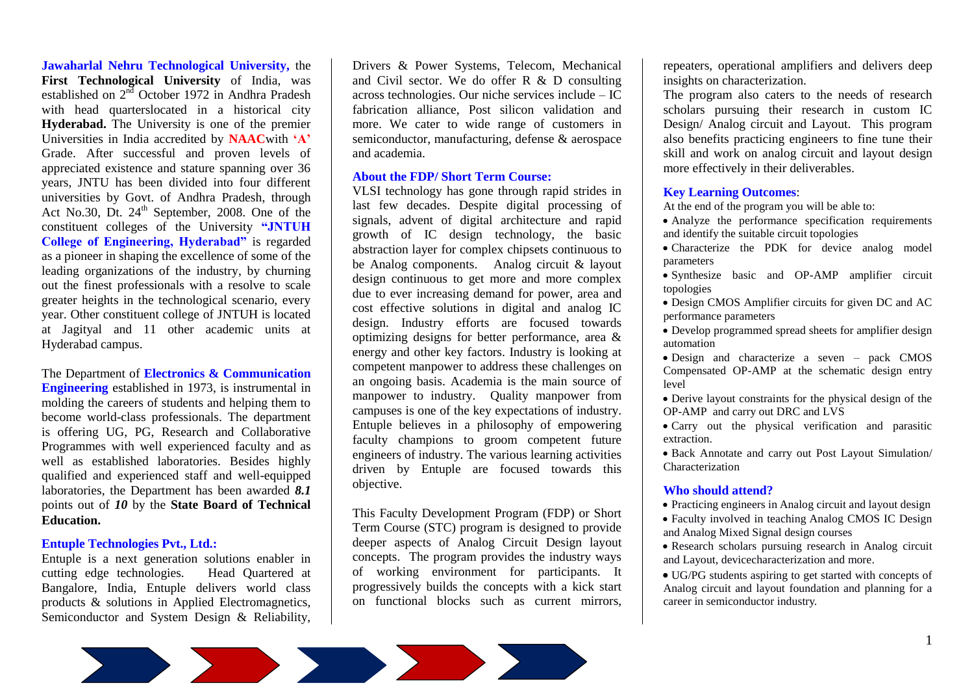**Jawaharlal Nehru Technological University,** the **First Technological University** of India, was established on  $2<sup>nd</sup>$  October 1972 in Andhra Pradesh with head quarterslocated in a historical city **Hyderabad.** The University is one of the premier Universities in India accredited by **NAAC**with **"A"** Grade. After successful and proven levels of appreciated existence and stature spanning over 36 years, JNTU has been divided into four different universities by Govt. of Andhra Pradesh, through Act No.30, Dt. 24<sup>th</sup> September, 2008. One of the constituent colleges of the University **"JNTUH College of Engineering, Hyderabad"** is regarded as a pioneer in shaping the excellence of some of the leading organizations of the industry, by churning out the finest professionals with a resolve to scale greater heights in the technological scenario, every year. Other constituent college of JNTUH is located at Jagityal and 11 other academic units at Hyderabad campus.

The Department of **Electronics & Communication Engineering** established in 1973, is instrumental in molding the careers of students and helping them to become world-class professionals. The department is offering UG, PG, Research and Collaborative Programmes with well experienced faculty and as well as established laboratories. Besides highly qualified and experienced staff and well-equipped laboratories, the Department has been awarded *8.1*  points out of *10* by the **State Board of Technical Education.** 

## **Entuple Technologies Pvt., Ltd.:**

Entuple is a next generation solutions enabler in cutting edge technologies. Head Quartered at Bangalore, India, Entuple delivers world class products & solutions in Applied Electromagnetics, Semiconductor and System Design & Reliability, Drivers & Power Systems, Telecom, Mechanical and Civil sector. We do offer R & D consulting across technologies. Our niche services include – IC fabrication alliance, Post silicon validation and more. We cater to wide range of customers in semiconductor, manufacturing, defense & aerospace and academia.

### **About the FDP/ Short Term Course:**

VLSI technology has gone through rapid strides in last few decades. Despite digital processing of signals, advent of digital architecture and rapid growth of IC design technology, the basic abstraction layer for complex chipsets continuous to be Analog components. Analog circuit & layout design continuous to get more and more complex due to ever increasing demand for power, area and cost effective solutions in digital and analog IC design. Industry efforts are focused towards optimizing designs for better performance, area & energy and other key factors. Industry is looking at competent manpower to address these challenges on an ongoing basis. Academia is the main source of manpower to industry. Quality manpower from campuses is one of the key expectations of industry. Entuple believes in a philosophy of empowering faculty champions to groom competent future engineers of industry. The various learning activities driven by Entuple are focused towards this objective.

This Faculty Development Program (FDP) or Short Term Course (STC) program is designed to provide deeper aspects of Analog Circuit Design layout concepts. The program provides the industry ways of working environment for participants. It progressively builds the concepts with a kick start on functional blocks such as current mirrors,

repeaters, operational amplifiers and delivers deep insights on characterization.

The program also caters to the needs of research scholars pursuing their research in custom IC Design/ Analog circuit and Layout. This program also benefits practicing engineers to fine tune their skill and work on analog circuit and layout design more effectively in their deliverables.

# **Key Learning Outcomes**:

At the end of the program you will be able to:

- Analyze the performance specification requirements and identify the suitable circuit topologies
- Characterize the PDK for device analog model parameters
- Synthesize basic and OP-AMP amplifier circuit topologies
- Design CMOS Amplifier circuits for given DC and AC performance parameters
- Develop programmed spread sheets for amplifier design automation
- Design and characterize a seven pack CMOS Compensated OP-AMP at the schematic design entry level
- Derive layout constraints for the physical design of the OP-AMP and carry out DRC and LVS
- Carry out the physical verification and parasitic extraction.

 Back Annotate and carry out Post Layout Simulation/ Characterization

## **Who should attend?**

- Practicing engineers in Analog circuit and layout design
- Faculty involved in teaching Analog CMOS IC Design and Analog Mixed Signal design courses
- Research scholars pursuing research in Analog circuit and Layout, devicecharacterization and more.

 UG/PG students aspiring to get started with concepts of Analog circuit and layout foundation and planning for a career in semiconductor industry.

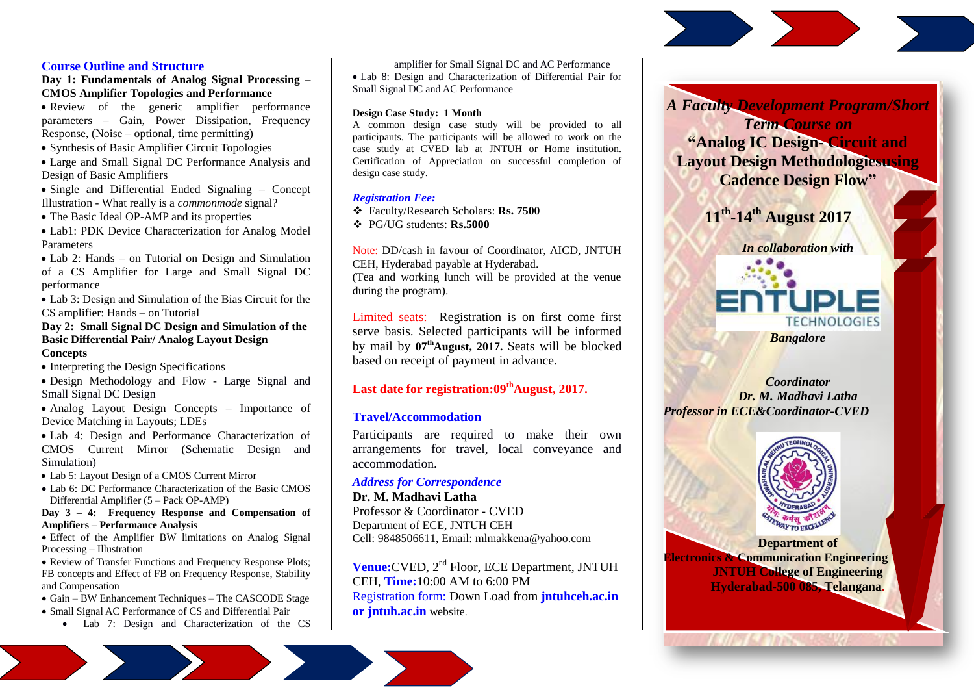### **Course Outline and Structure**

**Day 1: Fundamentals of Analog Signal Processing – CMOS Amplifier Topologies and Performance**

• Review of the generic amplifier performance parameters – Gain, Power Dissipation, Frequency Response, (Noise – optional, time permitting)

• Synthesis of Basic Amplifier Circuit Topologies

 Large and Small Signal DC Performance Analysis and Design of Basic Amplifiers

• Single and Differential Ended Signaling – Concept Illustration - What really is a *commonmode* signal?

• The Basic Ideal OP-AMP and its properties

 Lab1: PDK Device Characterization for Analog Model Parameters

• Lab 2: Hands – on Tutorial on Design and Simulation of a CS Amplifier for Large and Small Signal DC performance

 Lab 3: Design and Simulation of the Bias Circuit for the CS amplifier: Hands – on Tutorial

# **Day 2: Small Signal DC Design and Simulation of the Basic Differential Pair/ Analog Layout Design**

**Concepts**

• Interpreting the Design Specifications

 Design Methodology and Flow - Large Signal and Small Signal DC Design

• Analog Layout Design Concepts – Importance of Device Matching in Layouts; LDEs

 Lab 4: Design and Performance Characterization of CMOS Current Mirror (Schematic Design and Simulation)

Lab 5: Layout Design of a CMOS Current Mirror

• Lab 6: DC Performance Characterization of the Basic CMOS Differential Amplifier (5 – Pack OP-AMP)

**Day 3 – 4: Frequency Response and Compensation of Amplifiers – Performance Analysis**

 Effect of the Amplifier BW limitations on Analog Signal Processing – Illustration

 Review of Transfer Functions and Frequency Response Plots; FB concepts and Effect of FB on Frequency Response, Stability and Compensation

Gain – BW Enhancement Techniques – The CASCODE Stage

- Small Signal AC Performance of CS and Differential Pair
	- Lab 7: Design and Characterization of the CS

amplifier for Small Signal DC and AC Performance Lab 8: Design and Characterization of Differential Pair for Small Signal DC and AC Performance

#### **Design Case Study: 1 Month**

A common design case study will be provided to all participants. The participants will be allowed to work on the case study at CVED lab at JNTUH or Home institution. Certification of Appreciation on successful completion of design case study.

### *Registration Fee:*

Faculty/Research Scholars: **Rs. 7500**

PG/UG students: **Rs.5000**

Note: DD/cash in favour of Coordinator, AICD, JNTUH

CEH, Hyderabad payable at Hyderabad.

(Tea and working lunch will be provided at the venue during the program).

Limited seats: Registration is on first come first serve basis. Selected participants will be informed by mail by **07thAugust, 2017.** Seats will be blocked based on receipt of payment in advance.

## **Last date for registration:09thAugust, 2017.**

### **Travel/Accommodation**

Participants are required to make their own arrangements for travel, local conveyance and accommodation.

### *Address for Correspondence*

**Dr. M. Madhavi Latha** Professor & Coordinator - CVED Department of ECE, JNTUH CEH Cell: 9848506611, Email: mlmakkena@yahoo.com

**Venue:**CVED, 2nd Floor, ECE Department, JNTUH CEH, **Time:**10:00 AM to 6:00 PM Registration form: Down Load from **jntuhceh.ac.in or jntuh.ac.in** website.



*A Faculty Development Program/Short Term Course on* **"Analog IC Design- Circuit and** 



**Department of Electronics & Communication Engineering JNTUH College of Engineering Hyderabad-500 085, Telangana.**